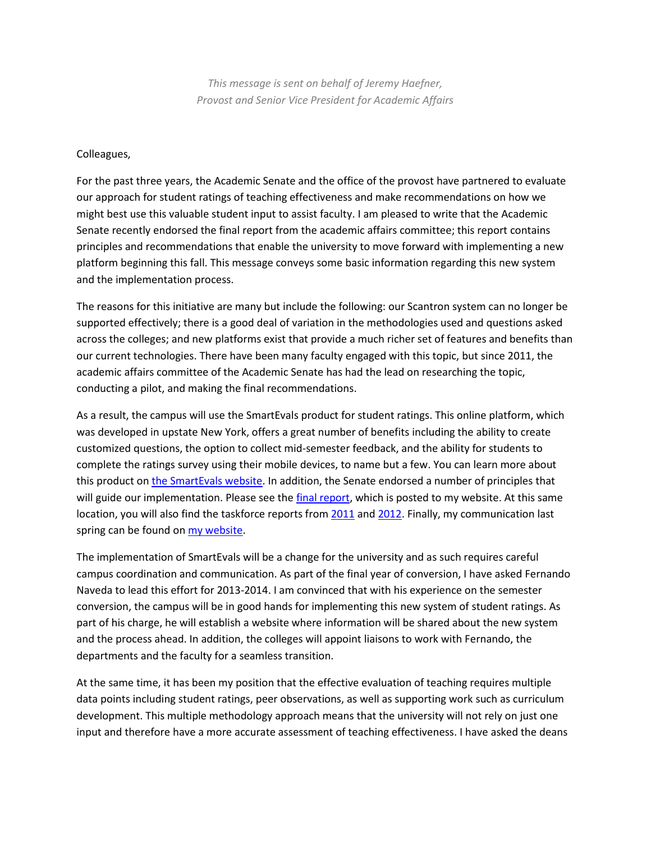*This message is sent on behalf of Jeremy Haefner, Provost and Senior Vice President for Academic Affairs*

## Colleagues,

For the past three years, the Academic Senate and the office of the provost have partnered to evaluate our approach for student ratings of teaching effectiveness and make recommendations on how we might best use this valuable student input to assist faculty. I am pleased to write that the Academic Senate recently endorsed the final report from the academic affairs committee; this report contains principles and recommendations that enable the university to move forward with implementing a new platform beginning this fall. This message conveys some basic information regarding this new system and the implementation process.

The reasons for this initiative are many but include the following: our Scantron system can no longer be supported effectively; there is a good deal of variation in the methodologies used and questions asked across the colleges; and new platforms exist that provide a much richer set of features and benefits than our current technologies. There have been many faculty engaged with this topic, but since 2011, the academic affairs committee of the Academic Senate has had the lead on researching the topic, conducting a pilot, and making the final recommendations.

As a result, the campus will use the SmartEvals product for student ratings. This online platform, which was developed in upstate New York, offers a great number of benefits including the ability to create customized questions, the option to collect mid-semester feedback, and the ability for students to complete the ratings survey using their mobile devices, to name but a few. You can learn more about this product o[n the SmartEvals website.](http://info.smartevals.com/) In addition, the Senate endorsed a number of principles that will guide our implementation. Please see th[e final report,](https://www.rit.edu/provost/sites/rit.edu.provost/files/aac_taskforce_on_student_input_on_teaching_effectiveness_final_report.pdf) which is posted to my website. At this same location, you will also find the taskforce reports from [2011](https://www.rit.edu/provost/sites/rit.edu.provost/files/courseevaluationtaskforceupdateppt_01-06-2011.pdf) an[d 2012.](http://wallacecenter.rit.edu/sites/wallacecenter.rit.edu/files/Evaluation_of_Teaching_Effectiveness.pdf) Finally, my communication last spring can be found on [my website.](https://www.rit.edu/~w-drupal/sites/rit.edu.provost/files/teaching_effectiveness_june2012.pdf)

The implementation of SmartEvals will be a change for the university and as such requires careful campus coordination and communication. As part of the final year of conversion, I have asked Fernando Naveda to lead this effort for 2013-2014. I am convinced that with his experience on the semester conversion, the campus will be in good hands for implementing this new system of student ratings. As part of his charge, he will establish a website where information will be shared about the new system and the process ahead. In addition, the colleges will appoint liaisons to work with Fernando, the departments and the faculty for a seamless transition.

At the same time, it has been my position that the effective evaluation of teaching requires multiple data points including student ratings, peer observations, as well as supporting work such as curriculum development. This multiple methodology approach means that the university will not rely on just one input and therefore have a more accurate assessment of teaching effectiveness. I have asked the deans